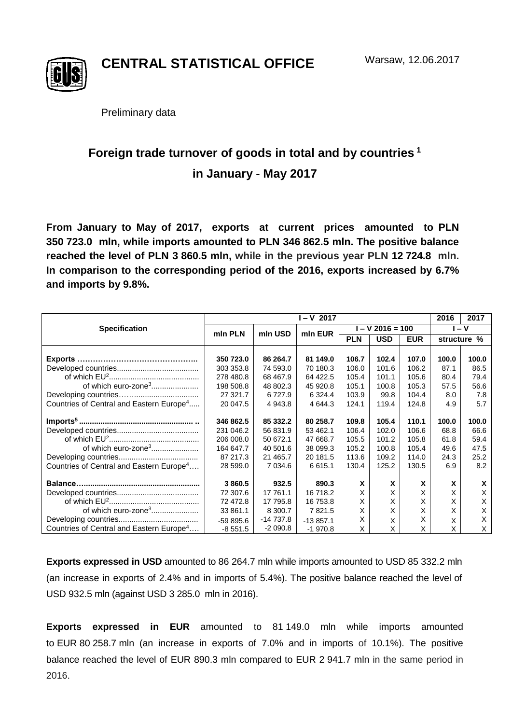

**CENTRAL STATISTICAL OFFICE**

Preliminary data

## **Foreign trade turnover of goods in total and by countries <sup>1</sup> in January - May 2017**

**From January to May of 2017, exports at current prices amounted to PLN 350 723.0 mln, while imports amounted to PLN 346 862.5 mln. The positive balance reached the level of PLN 3 860.5 mln, while in the previous year PLN 12 724.8 mln. In comparison to the corresponding period of the 2016, exports increased by 6.7% and imports by 9.8%.**

|                                                      | $I - V 2017$ |            |             |                    |            |            | 2016  | 2017        |
|------------------------------------------------------|--------------|------------|-------------|--------------------|------------|------------|-------|-------------|
| <b>Specification</b>                                 | min PLN      | mln USD    | min EUR     | $I - V$ 2016 = 100 |            |            | I – V |             |
|                                                      |              |            |             | <b>PLN</b>         | <b>USD</b> | <b>EUR</b> |       | structure % |
|                                                      |              |            |             |                    |            |            |       |             |
| Exports                                              | 350 723.0    | 86 264.7   | 81 149.0    | 106.7              | 102.4      | 107.0      | 100.0 | 100.0       |
|                                                      | 303 353.8    | 74 593.0   | 70 180.3    | 106.0              | 101.6      | 106.2      | 87.1  | 86.5        |
|                                                      | 278 480.8    | 68 467.9   | 64 422.5    | 105.4              | 101.1      | 105.6      | 80.4  | 79.4        |
| of which euro-zone <sup>3</sup>                      | 198 508.8    | 48 802.3   | 45 920.8    | 105.1              | 100.8      | 105.3      | 57.5  | 56.6        |
|                                                      | 27 321.7     | 6727.9     | 6 3 2 4 . 4 | 103.9              | 99.8       | 104.4      | 8.0   | 7.8         |
| Countries of Central and Eastern Europe <sup>4</sup> | 20 047.5     | 4 943.8    | 4 644.3     | 124.1              | 119.4      | 124.8      | 4.9   | 5.7         |
|                                                      | 346 862.5    | 85 332.2   | 80 258.7    | 109.8              | 105.4      | 110.1      | 100.0 | 100.0       |
|                                                      | 231 046.2    | 56 831.9   | 53 462.1    | 106.4              | 102.0      | 106.6      | 68.8  | 66.6        |
|                                                      | 206 008.0    | 50 672.1   | 47 668.7    | 105.5              | 101.2      | 105.8      | 61.8  | 59.4        |
| of which euro-zone <sup>3</sup>                      | 164 647.7    | 40 501.6   | 38 099.3    | 105.2              | 100.8      | 105.4      | 49.6  | 47.5        |
|                                                      | 87 217.3     | 21 4 65.7  | 20 181.5    | 113.6              | 109.2      | 114.0      | 24.3  | 25.2        |
| Countries of Central and Eastern Europe <sup>4</sup> | 28 599.0     | 7 0 34.6   | 6615.1      | 130.4              | 125.2      | 130.5      | 6.9   | 8.2         |
|                                                      |              |            |             |                    |            |            |       |             |
|                                                      | 3 860.5      | 932.5      | 890.3       | x                  | X          | x          | X     | X           |
|                                                      | 72 307.6     | 17 761.1   | 16 718.2    | X                  | X          | X          | X     | X           |
|                                                      | 72 472.8     | 17 795.8   | 16 753.8    | Χ                  | X          | Χ          | X     | Χ           |
| of which euro-zone <sup>3</sup>                      | 33 861.1     | 8 300.7    | 7821.5      | X                  | X          | X          | X     | X           |
|                                                      | $-59895.6$   | $-14737.8$ | $-13857.1$  | X                  | X          | X          | X     | X           |
| Countries of Central and Eastern Europe <sup>4</sup> | $-8551.5$    | $-2090.8$  | $-1970.8$   | X                  | X          | X          | X     | X           |

**Exports expressed in USD** amounted to 86 264.7 mln while imports amounted to USD 85 332.2 mln (an increase in exports of 2.4% and in imports of 5.4%). The positive balance reached the level of USD 932.5 mln (against USD 3 285.0 mln in 2016).

**Exports expressed in EUR** amounted to 81 149.0 mln while imports amounted to EUR 80 258.7 mln (an increase in exports of 7.0% and in imports of 10.1%). The positive balance reached the level of EUR 890.3 mln compared to EUR 2 941.7 mln in the same period in 2016.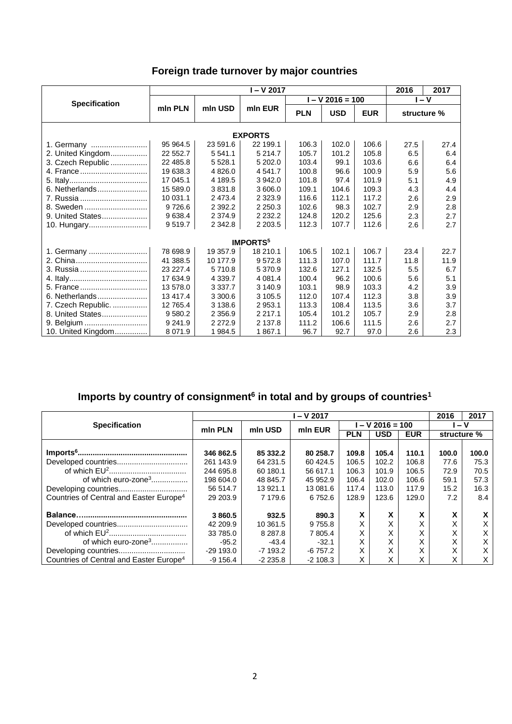|                            | I – V 2017 |             |             |            |                    |            |             | 2017 |  |  |
|----------------------------|------------|-------------|-------------|------------|--------------------|------------|-------------|------|--|--|
|                            |            |             |             |            | $I - V$ 2016 = 100 | I – V      |             |      |  |  |
| <b>Specification</b>       | min PLN    | mln USD     |             | <b>PLN</b> | <b>USD</b>         | <b>EUR</b> | structure % |      |  |  |
| <b>EXPORTS</b>             |            |             |             |            |                    |            |             |      |  |  |
| 1. Germany                 | 95 964.5   | 23 591.6    | 22 199.1    | 106.3      | 102.0              | 106.6      | 27.5        | 27.4 |  |  |
| 2. United Kingdom          | 22 552.7   | 5 5 4 1 . 1 | 5 214.7     | 105.7      | 101.2              | 105.8      | 6.5         | 6.4  |  |  |
| 3. Czech Republic          | 22 485.8   | 5 5 28.1    | 5 202.0     | 103.4      | 99.1               | 103.6      | 6.6         | 6.4  |  |  |
| 4. France                  | 19 638.3   | 4 8 2 6.0   | 4 5 4 1 . 7 | 100.8      | 96.6               | 100.9      | 5.9         | 5.6  |  |  |
|                            | 17 045.1   | 4 189.5     | 3 942.0     | 101.8      | 97.4               | 101.9      | 5.1         | 4.9  |  |  |
| 6. Netherlands             | 15 589.0   | 3831.8      | 3 606.0     | 109.1      | 104.6              | 109.3      | 4.3         | 4.4  |  |  |
| 7. Russia                  | 10 031.1   | 2 4 7 3.4   | 2 3 2 3 . 9 | 116.6      | 112.1              | 117.2      | 2.6         | 2.9  |  |  |
| 8. Sweden                  | 9726.6     | 2 3 9 2.2   | 2 2 5 0 . 3 | 102.6      | 98.3               | 102.7      | 2.9         | 2.8  |  |  |
| 9. United States           | 9638.4     | 2 3 7 4 .9  | 2 2 3 2 . 2 | 124.8      | 120.2              | 125.6      | 2.3         | 2.7  |  |  |
| 10. Hungary                | 9519.7     | 2 3 4 2.8   | 2 203.5     | 112.3      | 107.7              | 112.6      | 2.6         | 2.7  |  |  |
| <b>IMPORTS<sup>5</sup></b> |            |             |             |            |                    |            |             |      |  |  |
| 1. Germany                 | 78 698.9   | 19 357.9    | 18 210.1    | 106.5      | 102.1              | 106.7      | 23.4        | 22.7 |  |  |
|                            | 41 388.5   | 10 177.9    | 9572.8      | 111.3      | 107.0              | 111.7      | 11.8        | 11.9 |  |  |
| 3. Russia                  | 23 227.4   | 5710.8      | 5 370.9     | 132.6      | 127.1              | 132.5      | 5.5         | 6.7  |  |  |
|                            | 17 634.9   | 4 3 3 9.7   | 4 0 8 1 . 4 | 100.4      | 96.2               | 100.6      | 5.6         | 5.1  |  |  |
| 5. France                  | 13 578.0   | 3 3 3 7 . 7 | 3 140.9     | 103.1      | 98.9               | 103.3      | 4.2         | 3.9  |  |  |
| 6. Netherlands             | 13 417.4   | 3 300.6     | 3 105.5     | 112.0      | 107.4              | 112.3      | 3.8         | 3.9  |  |  |
| 7. Czech Republic.         | 12 765.4   | 3 1 3 8.6   | 2 953.1     | 113.3      | 108.4              | 113.5      | 3.6         | 3.7  |  |  |
| 8. United States           | 9 580.2    | 2 3 5 6.9   | 2 2 1 7 . 1 | 105.4      | 101.2              | 105.7      | 2.9         | 2.8  |  |  |
| 9. Belgium                 | 9 241.9    | 2 2 7 2 . 9 | 2 137.8     | 111.2      | 106.6              | 111.5      | 2.6         | 2.7  |  |  |
| 10. United Kingdom         | 8 0 7 1 .9 | 1 984.5     | 1867.1      | 96.7       | 92.7               | 97.0       | 2.6         | 2.3  |  |  |

## **Imports by country of consignment<sup>6</sup> in total and by groups of countries<sup>1</sup>**

|                                                     | $- V 2017$ |             |            |                 |            |            |             | 2017  |
|-----------------------------------------------------|------------|-------------|------------|-----------------|------------|------------|-------------|-------|
| <b>Specification</b>                                | min PLN    | mln USD     | min EUR    | $-V 2016 = 100$ |            |            | I – V       |       |
|                                                     |            |             |            | <b>PLN</b>      | <b>USD</b> | <b>EUR</b> | structure % |       |
|                                                     |            |             |            |                 |            |            |             |       |
| $Imports6$                                          | 346 862.5  | 85 332.2    | 80 258.7   | 109.8           | 105.4      | 110.1      | 100.0       | 100.0 |
|                                                     | 261 143.9  | 64 231.5    | 60 4 24.5  | 106.5           | 102.2      | 106.8      | 77.6        | 75.3  |
|                                                     | 244 695.8  | 60 180.1    | 56 617.1   | 106.3           | 101.9      | 106.5      | 72.9        | 70.5  |
| of which euro-zone <sup>3</sup>                     | 198 604.0  | 48 845.7    | 45 952.9   | 106.4           | 102.0      | 106.6      | 59.1        | 57.3  |
|                                                     | 56 514.7   | 13 9 21.1   | 13 081.6   | 117.4           | 113.0      | 117.9      | 15.2        | 16.3  |
| Countries of Central and Easter Europe <sup>4</sup> | 29 203.9   | 7 179.6     | 6752.6     | 128.9           | 123.6      | 129.0      | 7.2         | 8.4   |
|                                                     | 3 860.5    | 932.5       | 890.3      | X               | X          | x          | X           | X     |
|                                                     | 42 209.9   | 10 361.5    | 9 7 5 5.8  | X               | X          |            | Χ           | X     |
|                                                     | 33 785.0   | 8 2 8 7 . 8 | 7 805.4    | X               | X          | X          | Χ           | X     |
| of which euro-zone <sup>3</sup>                     | $-95.2$    | $-43.4$     | $-32.1$    | x               | X          | X          | X           | X     |
|                                                     | $-29193.0$ | $-7193.2$   | $-6757.2$  | Χ               | X          | X          | Χ           | Χ     |
| Countries of Central and Easter Europe <sup>4</sup> | $-9156.4$  | $-2235.8$   | $-2$ 108.3 | X               | X          |            |             | X     |